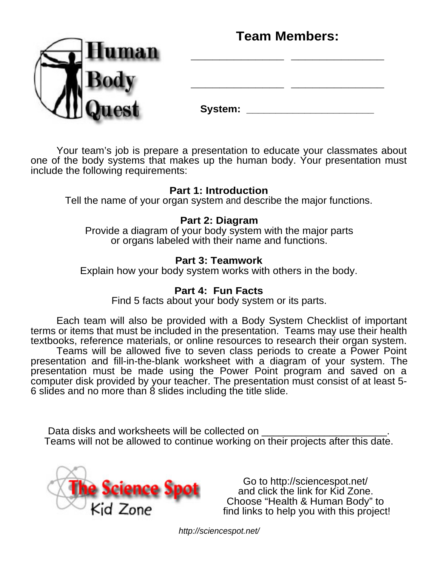## **Team Members:**

**\_\_\_\_\_\_\_\_\_\_\_\_\_ \_\_\_\_\_\_\_\_\_\_\_\_\_**

**\_\_\_\_\_\_\_\_\_\_\_\_\_ \_\_\_\_\_\_\_\_\_\_\_\_\_**



Your team's job is prepare a presentation to educate your classmates about one of the body systems that makes up the human body. Your presentation must include the following requirements:

#### **Part 1: Introduction**

Tell the name of your organ system and describe the major functions.

#### **Part 2: Diagram**

Provide a diagram of your body system with the major parts or organs labeled with their name and functions.

#### **Part 3: Teamwork**

Explain how your body system works with others in the body.

#### **Part 4: Fun Facts**

Find 5 facts about your body system or its parts.

Each team will also be provided with a Body System Checklist of important terms or items that must be included in the presentation. Teams may use their health textbooks, reference materials, or online resources to research their organ system. Teams will be allowed five to seven class periods to create a Power Point

presentation and fill-in-the-blank worksheet with a diagram of your system. The presentation must be made using the Power Point program and saved on a computer disk provided by your teacher. The presentation must consist of at least 5- 6 slides and no more than 8 slides including the title slide.

Data disks and worksheets will be collected on Teams will not be allowed to continue working on their projects after this date.



Go to <http://sciencespot.net/> and click the link for Kid Zone. Choose "Health & Human Body" to find links to help you with this project!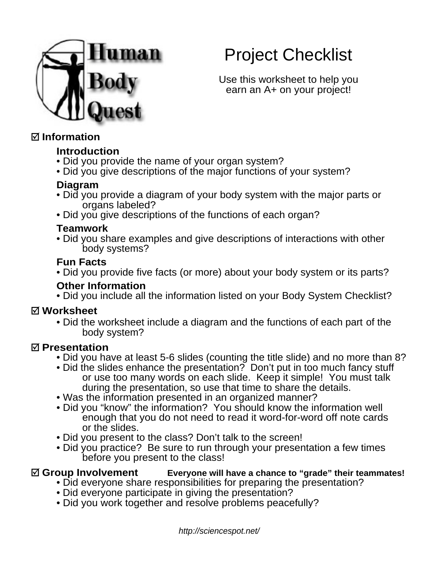# Project Checklist



Use this worksheet to help you earn an A+ on your project!

## **Information**

#### **Introduction**

- Did you provide the name of your organ system?
- Did you give descriptions of the major functions of your system?

## **Diagram**

- Did you provide a diagram of your body system with the major parts or organs labeled?
- Did you give descriptions of the functions of each organ?

## **Teamwork**

• Did you share examples and give descriptions of interactions with other body systems?

## **Fun Facts**

• Did you provide five facts (or more) about your body system or its parts?

#### **Other Information**

• Did you include all the information listed on your Body System Checklist?

## **Worksheet**

• Did the worksheet include a diagram and the functions of each part of the body system?

## **Presentation**

- Did you have at least 5-6 slides (counting the title slide) and no more than 8?
- Did the slides enhance the presentation? Don't put in too much fancy stuff or use too many words on each slide. Keep it simple! You must talk during the presentation, so use that time to share the details.
- Was the information presented in an organized manner?
- Did you "know" the information? You should know the information well enough that you do not need to read it word-for-word off note cards or the slides.
- Did you present to the class? Don't talk to the screen!
- Did you practice? Be sure to run through your presentation a few times before you present to the class!

## **Group Involvement Everyone will have a chance to "grade" their teammates!**

- Did everyone share responsibilities for preparing the presentation?
- Did everyone participate in giving the presentation?
- Did you work together and resolve problems peacefully?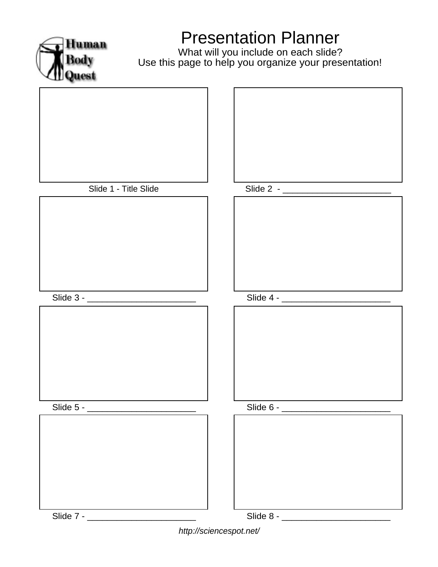

## Presentation Planner

What will you include on each slide? Use this page to help you organize your presentation!

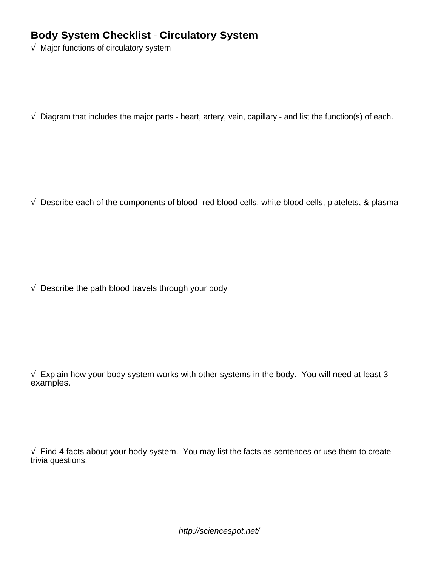#### **Body System Checklist** - **Circulatory System**

 $\sqrt{ }$  Major functions of circulatory system

 $\sqrt{ }$  Diagram that includes the major parts - heart, artery, vein, capillary - and list the function(s) of each.

 $\sqrt{ }$  Describe each of the components of blood- red blood cells, white blood cells, platelets, & plasma

 $\sqrt{ }$  Describe the path blood travels through your body

 $\sqrt{2}$  Explain how your body system works with other systems in the body. You will need at least 3 examples.

 $\sqrt{\phantom{a}}$  Find 4 facts about your body system. You may list the facts as sentences or use them to create trivia questions.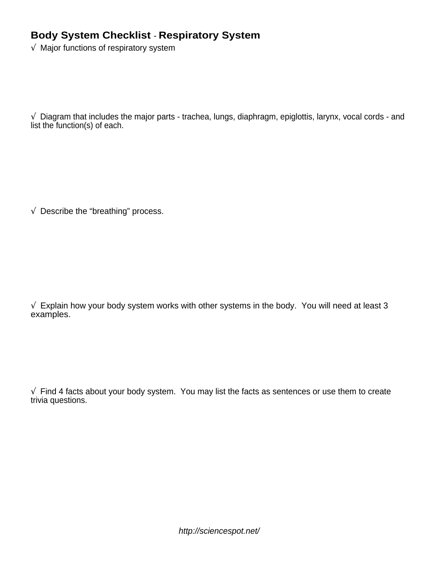#### **Body System Checklist** - **Respiratory System**

 $\sqrt{ }$  Major functions of respiratory system

 $\sqrt{ }$  Diagram that includes the major parts - trachea, lungs, diaphragm, epiglottis, larynx, vocal cords - and list the function(s) of each.

 $\sqrt{ }$  Describe the "breathing" process.

 $\sqrt{2}$  Explain how your body system works with other systems in the body. You will need at least 3 examples.

 $\sqrt{\phantom{a}}$  Find 4 facts about your body system. You may list the facts as sentences or use them to create trivia questions.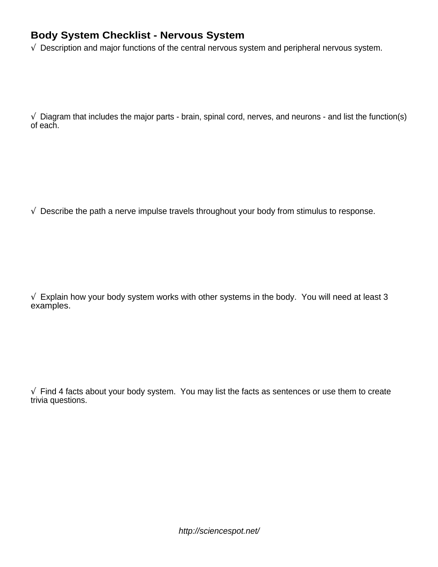#### **Body System Checklist - Nervous System**

 $\sqrt{ }$  Description and major functions of the central nervous system and peripheral nervous system.

 $\sqrt{ }$  Diagram that includes the major parts - brain, spinal cord, nerves, and neurons - and list the function(s) of each.

 $\sqrt{ }$  Describe the path a nerve impulse travels throughout your body from stimulus to response.

 $\sqrt{2}$  Explain how your body system works with other systems in the body. You will need at least 3 examples.

 $\sqrt{\phantom{a}}$  Find 4 facts about your body system. You may list the facts as sentences or use them to create trivia questions.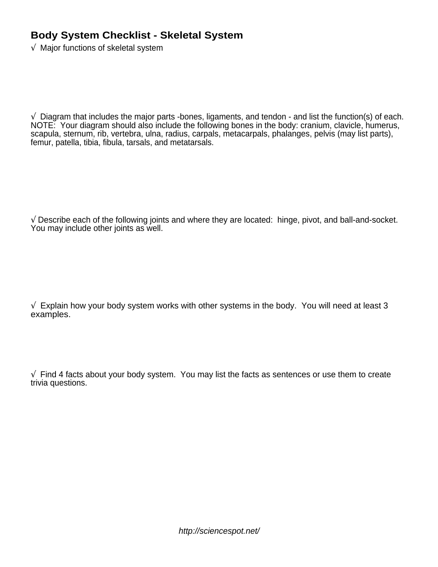#### **Body System Checklist - Skeletal System**

 $\sqrt{ }$  Major functions of skeletal system

 $\sqrt{ }$  Diagram that includes the major parts -bones, ligaments, and tendon - and list the function(s) of each. NOTE: Your diagram should also include the following bones in the body: cranium, clavicle, humerus, scapula, sternum, rib, vertebra, ulna, radius, carpals, metacarpals, phalanges, pelvis (may list parts), femur, patella, tibia, fibula, tarsals, and metatarsals.

√ Describe each of the following joints and where they are located: hinge, pivot, and ball-and-socket. You may include other joints as well.

 $\sqrt{2}$  Explain how your body system works with other systems in the body. You will need at least 3 examples.

 $\sqrt{\phantom{a}}$  Find 4 facts about your body system. You may list the facts as sentences or use them to create trivia questions.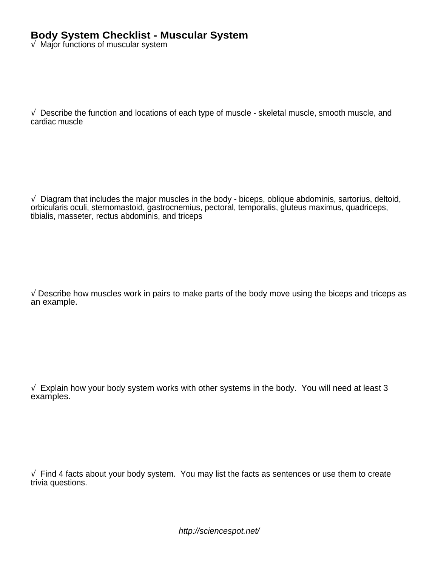#### **Body System Checklist - Muscular System**

 $\sqrt{ }$  Major functions of muscular system

 $\sqrt{ }$  Describe the function and locations of each type of muscle - skeletal muscle, smooth muscle, and cardiac muscle

 $\sqrt{ }$  Diagram that includes the major muscles in the body - biceps, oblique abdominis, sartorius, deltoid, orbicularis oculi, sternomastoid, gastrocnemius, pectoral, temporalis, gluteus maximus, quadriceps, tibialis, masseter, rectus abdominis, and triceps

 $\sqrt{ }$  Describe how muscles work in pairs to make parts of the body move using the biceps and triceps as an example.

 $\sqrt{2}$  Explain how your body system works with other systems in the body. You will need at least 3 examples.

 $\sqrt{\phantom{a}}$  Find 4 facts about your body system. You may list the facts as sentences or use them to create trivia questions.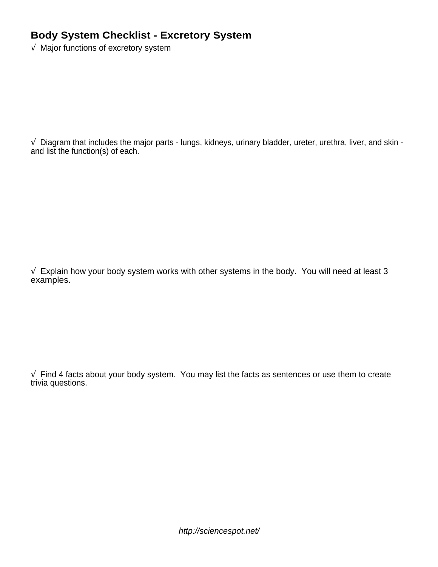#### **Body System Checklist - Excretory System**

√ Major functions of excretory system

 $\sqrt{ }$  Diagram that includes the major parts - lungs, kidneys, urinary bladder, ureter, urethra, liver, and skin and list the function(s) of each.

 $\sqrt{2}$  Explain how your body system works with other systems in the body. You will need at least 3 examples.

 $\sqrt{\phantom{a}}$  Find 4 facts about your body system. You may list the facts as sentences or use them to create trivia questions.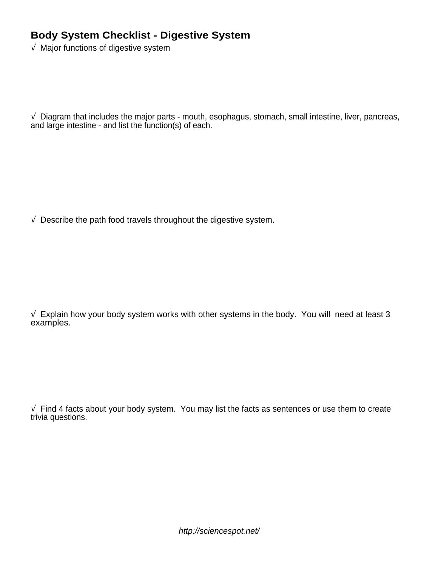## **Body System Checklist - Digestive System**

√ Major functions of digestive system

√ Diagram that includes the major parts - mouth, esophagus, stomach, small intestine, liver, pancreas, and large intestine - and list the function(s) of each.

 $\sqrt{ }$  Describe the path food travels throughout the digestive system.

 $\sqrt{2}$  Explain how your body system works with other systems in the body. You will need at least 3 examples.

 $\sqrt{ }$  Find 4 facts about your body system. You may list the facts as sentences or use them to create trivia questions.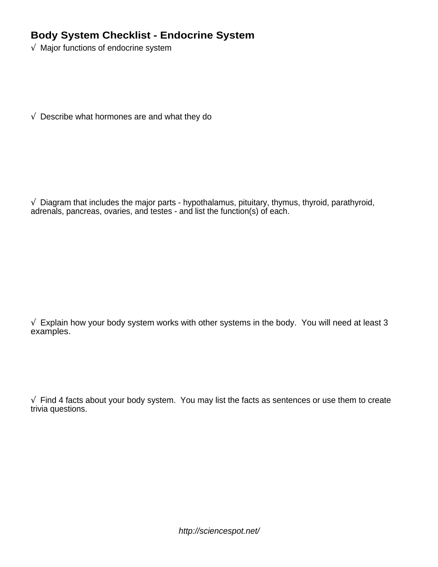#### **Body System Checklist - Endocrine System**

√ Major functions of endocrine system

 $\sqrt{ }$  Describe what hormones are and what they do

 $\sqrt{ }$  Diagram that includes the major parts - hypothalamus, pituitary, thymus, thyroid, parathyroid, adrenals, pancreas, ovaries, and testes - and list the function(s) of each.

 $\sqrt{2}$  Explain how your body system works with other systems in the body. You will need at least 3 examples.

 $\sqrt{ }$  Find 4 facts about your body system. You may list the facts as sentences or use them to create trivia questions.